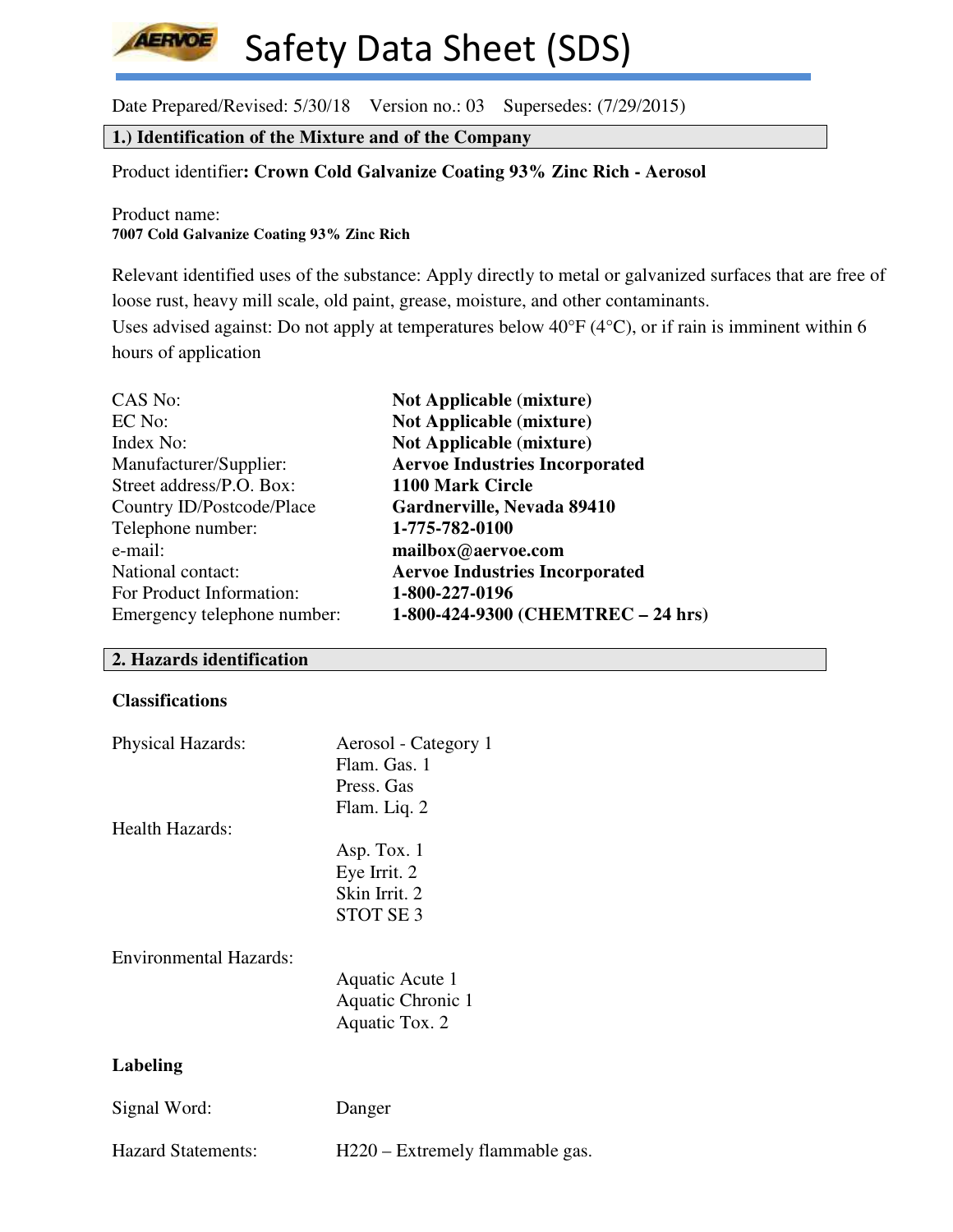Date Prepared/Revised: 5/30/18 Version no.: 03 Supersedes: (7/29/2015)

# **1.) Identification of the Mixture and of the Company**

# Product identifier**: Crown Cold Galvanize Coating 93% Zinc Rich - Aerosol**

Product name: **7007 Cold Galvanize Coating 93% Zinc Rich**

**AERVOE** 

Relevant identified uses of the substance: Apply directly to metal or galvanized surfaces that are free of loose rust, heavy mill scale, old paint, grease, moisture, and other contaminants.

Uses advised against: Do not apply at temperatures below 40°F (4°C), or if rain is imminent within 6 hours of application

| CAS No:                     | <b>Not Applicable (mixture)</b>       |
|-----------------------------|---------------------------------------|
| EC No:                      | <b>Not Applicable (mixture)</b>       |
| Index No:                   | <b>Not Applicable (mixture)</b>       |
| Manufacturer/Supplier:      | <b>Aervoe Industries Incorporated</b> |
| Street address/P.O. Box:    | 1100 Mark Circle                      |
| Country ID/Postcode/Place   | Gardnerville, Nevada 89410            |
| Telephone number:           | 1-775-782-0100                        |
| e-mail:                     | mailbox@aervoe.com                    |
| National contact:           | <b>Aervoe Industries Incorporated</b> |
| For Product Information:    | 1-800-227-0196                        |
| Emergency telephone number: | 1-800-424-9300 (CHEMTREC - 24 hrs)    |

# **2. Hazards identification**

# **Classifications**

| Physical Hazards:         | Aerosol - Category 1<br>Flam. Gas. 1<br>Press. Gas<br>Flam. Liq. 2 |
|---------------------------|--------------------------------------------------------------------|
| Health Hazards:           |                                                                    |
|                           | Asp. Tox. $1$                                                      |
|                           | Eye Irrit. 2                                                       |
|                           | Skin Irrit. 2                                                      |
|                           | STOT SE <sub>3</sub>                                               |
| Environmental Hazards:    | Aquatic Acute 1<br>Aquatic Chronic 1<br>Aquatic Tox. 2             |
| Labeling                  |                                                                    |
| Signal Word:              | Danger                                                             |
| <b>Hazard Statements:</b> | H220 – Extremely flammable gas.                                    |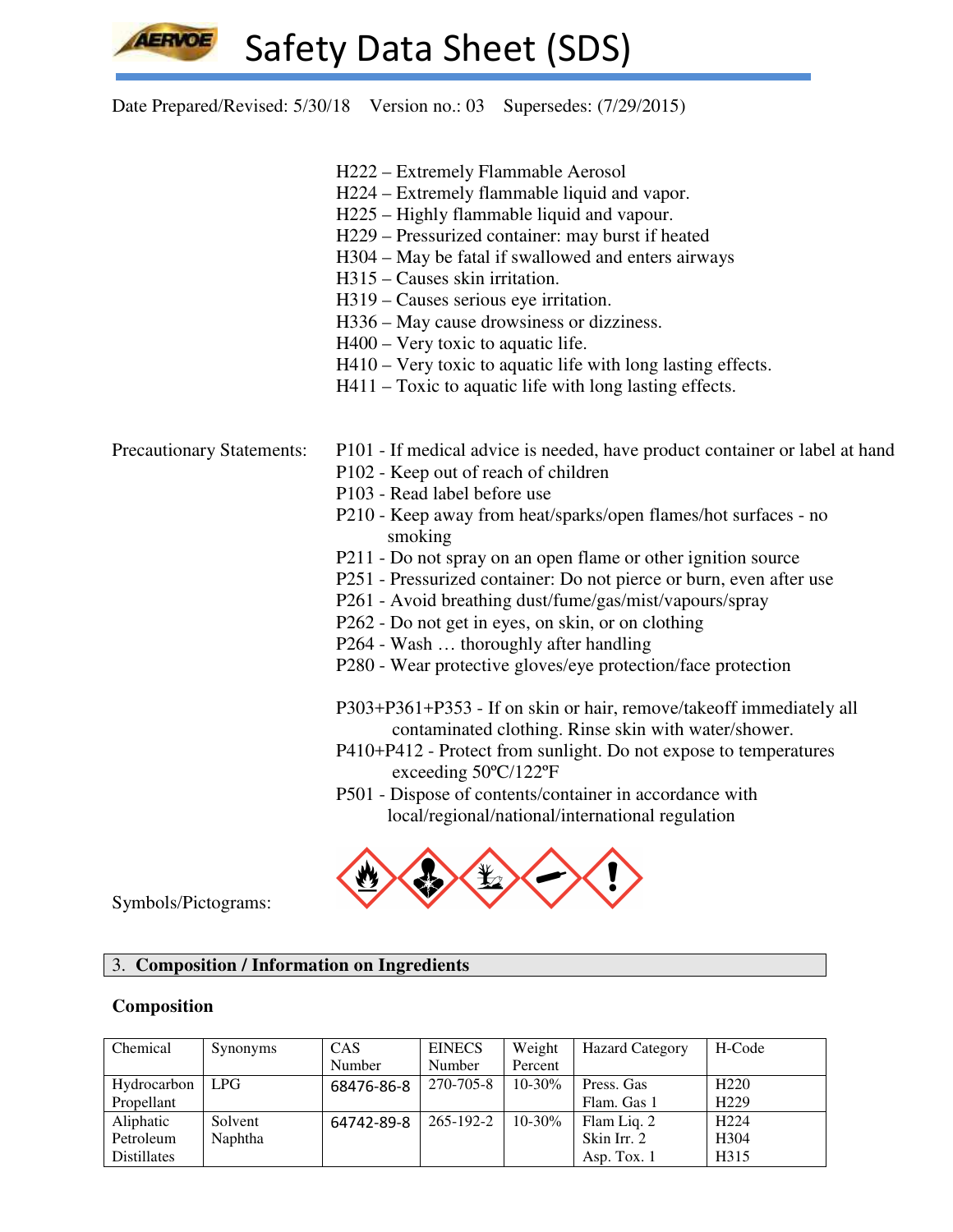Date Prepared/Revised: 5/30/18 Version no.: 03 Supersedes: (7/29/2015)

- H222 Extremely Flammable Aerosol
- H224 Extremely flammable liquid and vapor.
- H225 Highly flammable liquid and vapour.
- H229 Pressurized container: may burst if heated
- H304 May be fatal if swallowed and enters airways
- H315 Causes skin irritation.
- H319 Causes serious eye irritation.
- H336 May cause drowsiness or dizziness.
- H400 Very toxic to aquatic life.
- H410 Very toxic to aquatic life with long lasting effects.
- H411 Toxic to aquatic life with long lasting effects.

- Precautionary Statements: P101 If medical advice is needed, have product container or label at hand
	- P102 Keep out of reach of children
	- P103 Read label before use
	- P210 Keep away from heat/sparks/open flames/hot surfaces no smoking
	- P211 Do not spray on an open flame or other ignition source
	- P251 Pressurized container: Do not pierce or burn, even after use
	- P261 Avoid breathing dust/fume/gas/mist/vapours/spray
	- P262 Do not get in eyes, on skin, or on clothing
	- P264 Wash … thoroughly after handling
	- P280 Wear protective gloves/eye protection/face protection

 P303+P361+P353 - If on skin or hair, remove/takeoff immediately all contaminated clothing. Rinse skin with water/shower.

- P410+P412 Protect from sunlight. Do not expose to temperatures exceeding 50ºC/122ºF
- P501 Dispose of contents/container in accordance with local/regional/national/international regulation



Symbols/Pictograms:

# 3. **Composition / Information on Ingredients**

#### **Composition**

| Chemical           | Synonyms   | <b>CAS</b> | <b>EINECS</b> | Weight      | <b>Hazard Category</b> | H-Code           |
|--------------------|------------|------------|---------------|-------------|------------------------|------------------|
|                    |            | Number     | Number        | Percent     |                        |                  |
| Hydrocarbon        | <b>LPG</b> | 68476-86-8 | 270-705-8     | $10 - 30\%$ | Press. Gas             | H <sub>220</sub> |
| Propellant         |            |            |               |             | Flam. Gas 1            | H <sub>229</sub> |
| Aliphatic          | Solvent    | 64742-89-8 | 265-192-2     | $10 - 30\%$ | Flam Liq. 2            | H <sub>224</sub> |
| Petroleum          | Naphtha    |            |               |             | Skin Irr. 2            | H <sub>304</sub> |
| <b>Distillates</b> |            |            |               |             | Asp. Tox. $1$          | H315             |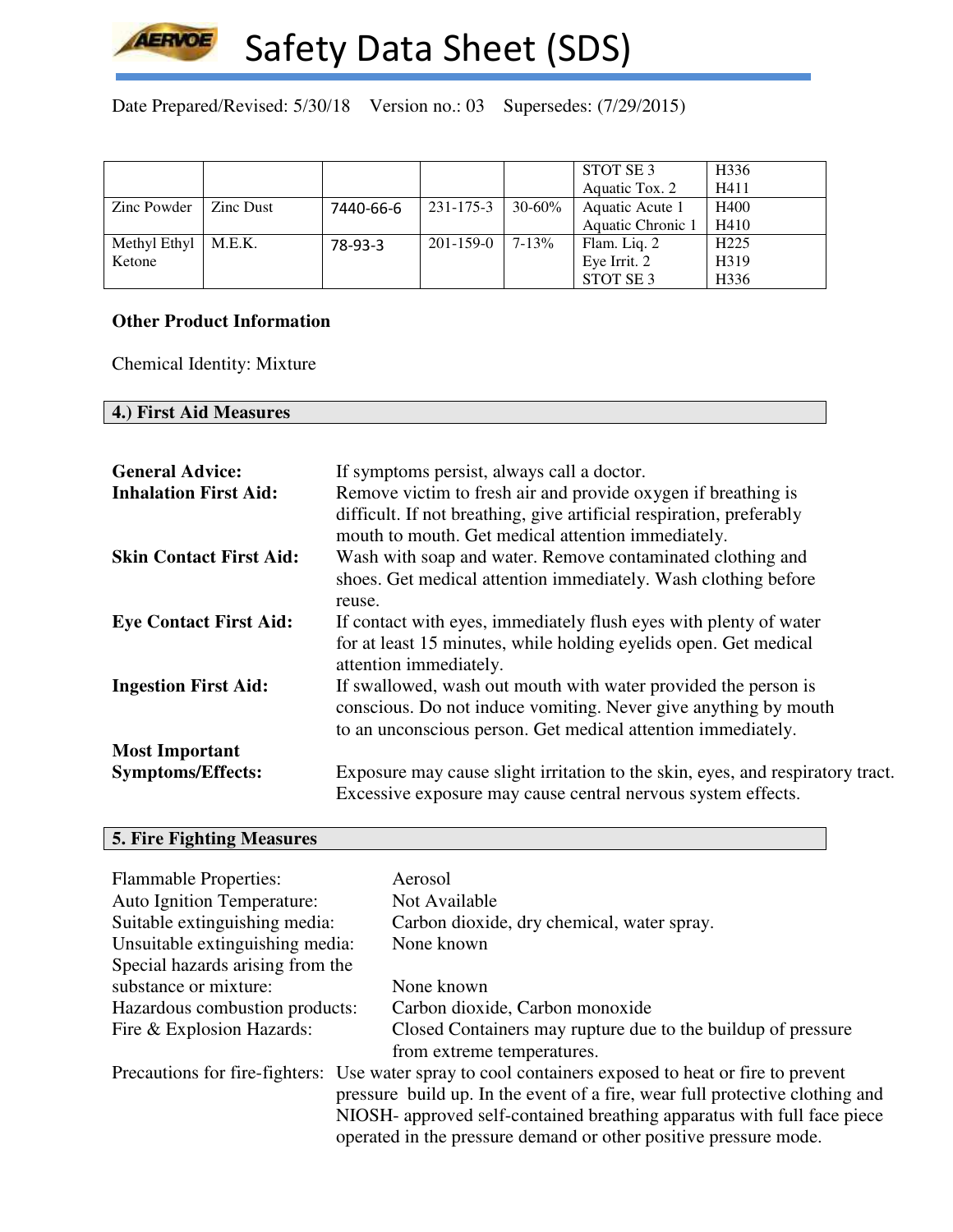

Date Prepared/Revised: 5/30/18 Version no.: 03 Supersedes: (7/29/2015)

|              |           |           |                 |             | STOT SE 3         | H336             |
|--------------|-----------|-----------|-----------------|-------------|-------------------|------------------|
|              |           |           |                 |             | Aquatic Tox. 2    | H411             |
| Zinc Powder  | Zinc Dust | 7440-66-6 | 231-175-3       | $30 - 60\%$ | Aquatic Acute 1   | H400             |
|              |           |           |                 |             | Aquatic Chronic 1 | H410             |
| Methyl Ethyl | M.E.K.    | 78-93-3   | $201 - 159 - 0$ | $7 - 13%$   | Flam. Liq. 2      | H <sub>225</sub> |
| Ketone       |           |           |                 |             | Eye Irrit. 2      | H319             |
|              |           |           |                 |             | STOT SE 3         | H <sub>336</sub> |

### **Other Product Information**

Chemical Identity: Mixture

# **4.) First Aid Measures**

| <b>General Advice:</b><br><b>Inhalation First Aid:</b> | If symptoms persist, always call a doctor.<br>Remove victim to fresh air and provide oxygen if breathing is<br>difficult. If not breathing, give artificial respiration, preferably<br>mouth to mouth. Get medical attention immediately. |
|--------------------------------------------------------|-------------------------------------------------------------------------------------------------------------------------------------------------------------------------------------------------------------------------------------------|
| <b>Skin Contact First Aid:</b>                         | Wash with soap and water. Remove contaminated clothing and<br>shoes. Get medical attention immediately. Wash clothing before<br>reuse.                                                                                                    |
| <b>Eye Contact First Aid:</b>                          | If contact with eyes, immediately flush eyes with plenty of water<br>for at least 15 minutes, while holding eyelids open. Get medical<br>attention immediately.                                                                           |
| <b>Ingestion First Aid:</b>                            | If swallowed, wash out mouth with water provided the person is<br>conscious. Do not induce vomiting. Never give anything by mouth<br>to an unconscious person. Get medical attention immediately.                                         |
| <b>Most Important</b>                                  |                                                                                                                                                                                                                                           |
| <b>Symptoms/Effects:</b>                               | Exposure may cause slight irritation to the skin, eyes, and respiratory tract.<br>Excessive exposure may cause central nervous system effects.                                                                                            |

# **5. Fire Fighting Measures**

| <b>Flammable Properties:</b>      | Aerosol                                                                                              |
|-----------------------------------|------------------------------------------------------------------------------------------------------|
| <b>Auto Ignition Temperature:</b> | Not Available                                                                                        |
| Suitable extinguishing media:     | Carbon dioxide, dry chemical, water spray.                                                           |
| Unsuitable extinguishing media:   | None known                                                                                           |
| Special hazards arising from the  |                                                                                                      |
| substance or mixture:             | None known                                                                                           |
| Hazardous combustion products:    | Carbon dioxide, Carbon monoxide                                                                      |
| Fire & Explosion Hazards:         | Closed Containers may rupture due to the buildup of pressure                                         |
|                                   | from extreme temperatures.                                                                           |
|                                   | Precautions for fire-fighters: Use water spray to cool containers exposed to heat or fire to prevent |
|                                   | pressure build up. In the event of a fire, wear full protective clothing and                         |
|                                   | NIOSH- approved self-contained breathing apparatus with full face piece                              |
|                                   | operated in the pressure demand or other positive pressure mode.                                     |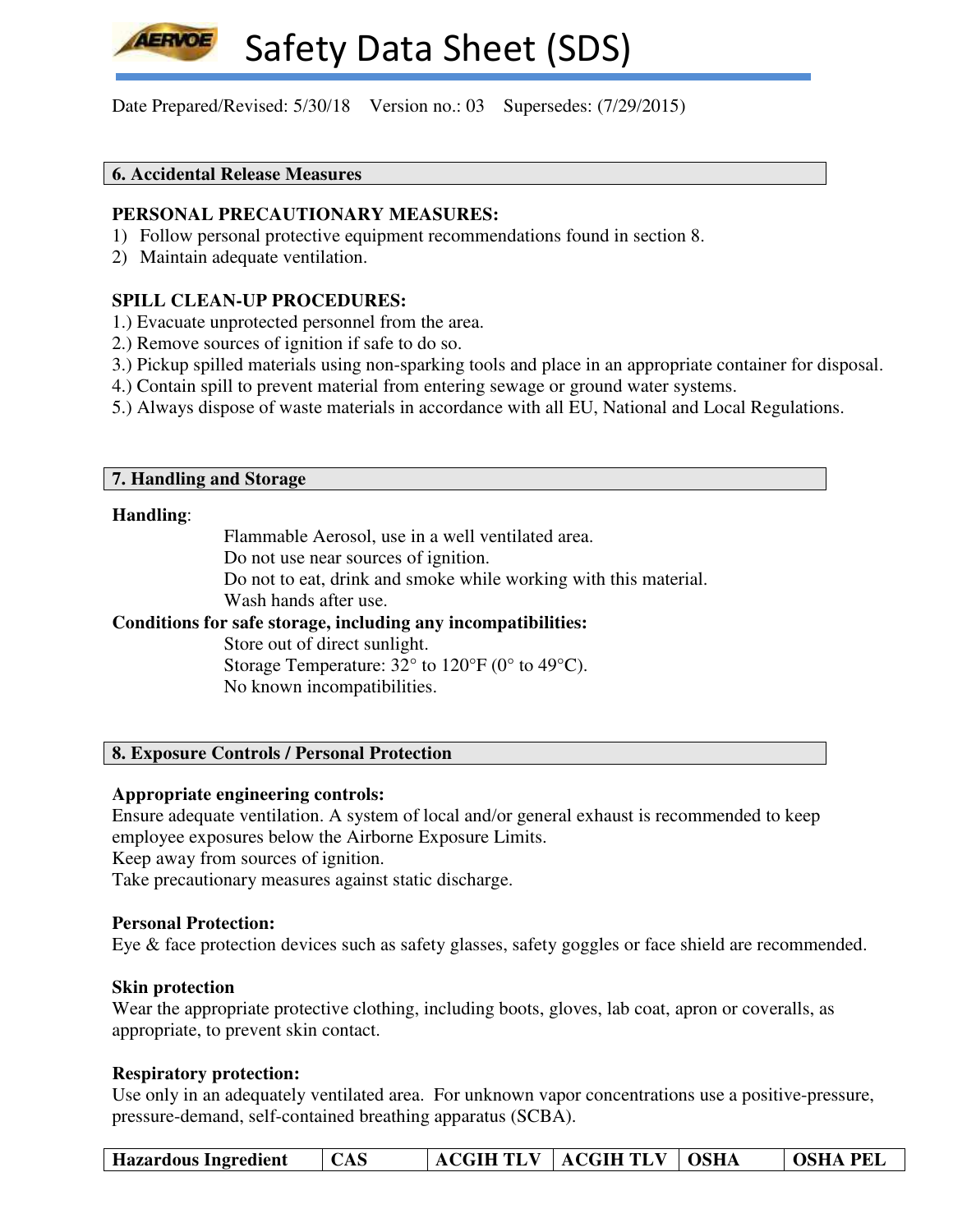Date Prepared/Revised: 5/30/18 Version no.: 03 Supersedes: (7/29/2015)

## **6. Accidental Release Measures**

#### **PERSONAL PRECAUTIONARY MEASURES:**

- 1) Follow personal protective equipment recommendations found in section 8.
- 2) Maintain adequate ventilation.

# **SPILL CLEAN-UP PROCEDURES:**

- 1.) Evacuate unprotected personnel from the area.
- 2.) Remove sources of ignition if safe to do so.
- 3.) Pickup spilled materials using non-sparking tools and place in an appropriate container for disposal.
- 4.) Contain spill to prevent material from entering sewage or ground water systems.
- 5.) Always dispose of waste materials in accordance with all EU, National and Local Regulations.

#### **7. Handling and Storage**

#### **Handling**:

Flammable Aerosol, use in a well ventilated area.

Do not use near sources of ignition.

Do not to eat, drink and smoke while working with this material.

Wash hands after use.

### **Conditions for safe storage, including any incompatibilities:**

Store out of direct sunlight.

Storage Temperature: 32° to 120°F (0° to 49°C). No known incompatibilities.

## **8. Exposure Controls / Personal Protection**

#### **Appropriate engineering controls:**

Ensure adequate ventilation. A system of local and/or general exhaust is recommended to keep employee exposures below the Airborne Exposure Limits.

Keep away from sources of ignition.

Take precautionary measures against static discharge.

#### **Personal Protection:**

Eye & face protection devices such as safety glasses, safety goggles or face shield are recommended.

#### **Skin protection**

Wear the appropriate protective clothing, including boots, gloves, lab coat, apron or coveralls, as appropriate, to prevent skin contact.

#### **Respiratory protection:**

Use only in an adequately ventilated area. For unknown vapor concentrations use a positive-pressure, pressure-demand, self-contained breathing apparatus (SCBA).

| <b>ACGIH TLV   ACGIH TLV   OSHA</b><br><b>Hazardous Ingredient</b> |  | CAS |  |  |  | <b>OSHA PEL</b> |
|--------------------------------------------------------------------|--|-----|--|--|--|-----------------|
|--------------------------------------------------------------------|--|-----|--|--|--|-----------------|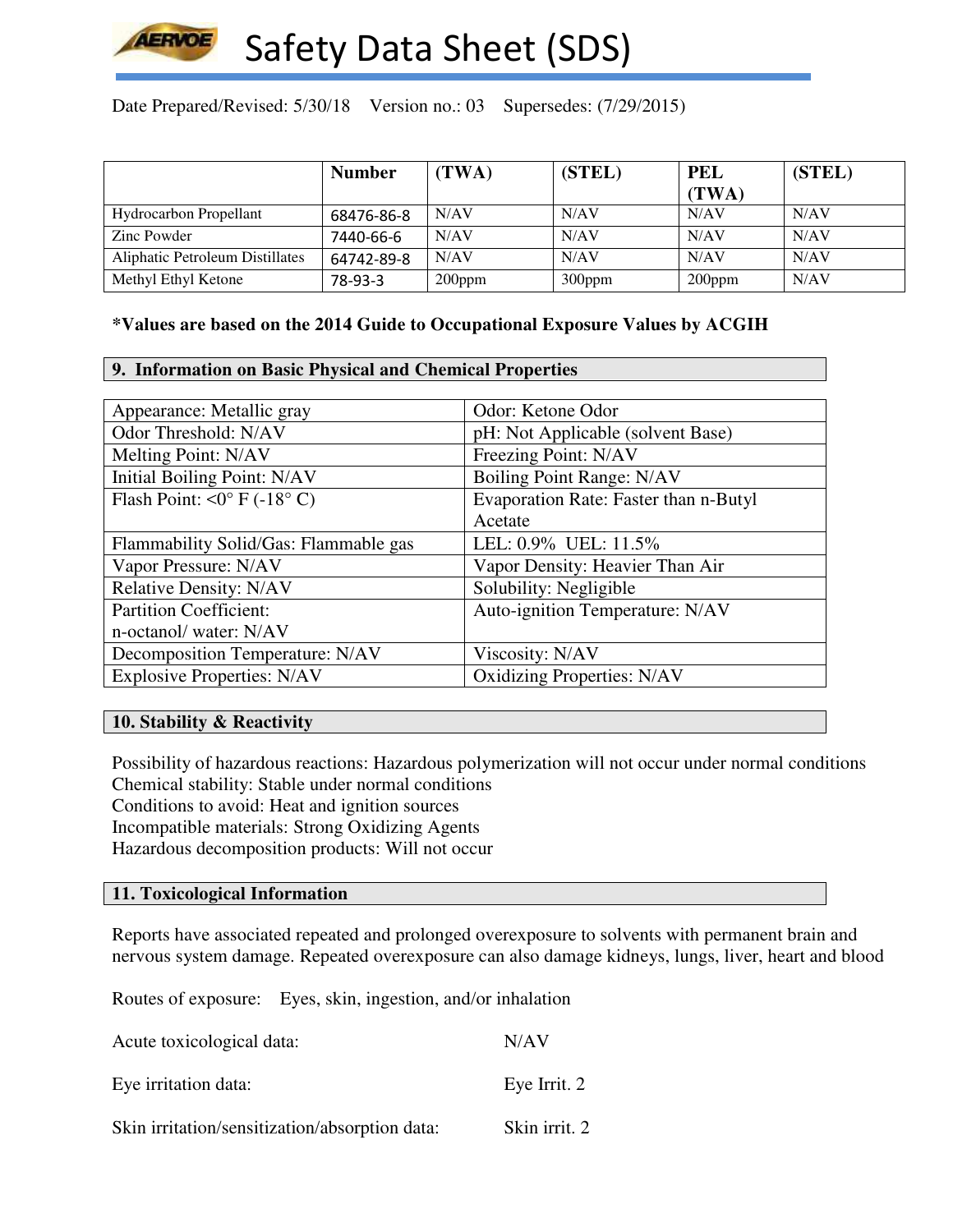

Date Prepared/Revised: 5/30/18 Version no.: 03 Supersedes: (7/29/2015)

|                                 | <b>Number</b> | (TWA)     | (STEL)    | <b>PEL</b> | (STEL) |
|---------------------------------|---------------|-----------|-----------|------------|--------|
|                                 |               |           |           | (TWA)      |        |
| <b>Hydrocarbon Propellant</b>   | 68476-86-8    | N/AV      | N/AV      | N/AV       | N/AV   |
| Zinc Powder                     | 7440-66-6     | N/AV      | N/AV      | N/AV       | N/AV   |
| Aliphatic Petroleum Distillates | 64742-89-8    | N/AV      | N/AV      | N/AV       | N/AV   |
| Methyl Ethyl Ketone             | 78-93-3       | $200$ ppm | $300$ ppm | $200$ ppm  | N/AV   |

# **\*Values are based on the 2014 Guide to Occupational Exposure Values by ACGIH**

#### **9. Information on Basic Physical and Chemical Properties**

| Appearance: Metallic gray                   | Odor: Ketone Odor                     |
|---------------------------------------------|---------------------------------------|
| Odor Threshold: N/AV                        | pH: Not Applicable (solvent Base)     |
| Melting Point: N/AV                         | Freezing Point: N/AV                  |
| Initial Boiling Point: N/AV                 | Boiling Point Range: N/AV             |
| Flash Point: $\langle 0^{\circ}$ F (-18° C) | Evaporation Rate: Faster than n-Butyl |
|                                             | Acetate                               |
| Flammability Solid/Gas: Flammable gas       | LEL: 0.9% UEL: 11.5%                  |
| Vapor Pressure: N/AV                        | Vapor Density: Heavier Than Air       |
| <b>Relative Density: N/AV</b>               | Solubility: Negligible                |
| <b>Partition Coefficient:</b>               | Auto-ignition Temperature: N/AV       |
| n-octanol/ water: N/AV                      |                                       |
| Decomposition Temperature: N/AV             | Viscosity: N/AV                       |
| <b>Explosive Properties: N/AV</b>           | <b>Oxidizing Properties: N/AV</b>     |

### **10. Stability & Reactivity**

Possibility of hazardous reactions: Hazardous polymerization will not occur under normal conditions Chemical stability: Stable under normal conditions Conditions to avoid: Heat and ignition sources Incompatible materials: Strong Oxidizing Agents Hazardous decomposition products: Will not occur

#### **11. Toxicological Information**

Reports have associated repeated and prolonged overexposure to solvents with permanent brain and nervous system damage. Repeated overexposure can also damage kidneys, lungs, liver, heart and blood

Routes of exposure: Eyes, skin, ingestion, and/or inhalation

| Acute toxicological data:                      | N/AV          |
|------------------------------------------------|---------------|
| Eye irritation data:                           | Eye Irrit. 2  |
| Skin irritation/sensitization/absorption data: | Skin irrit. 2 |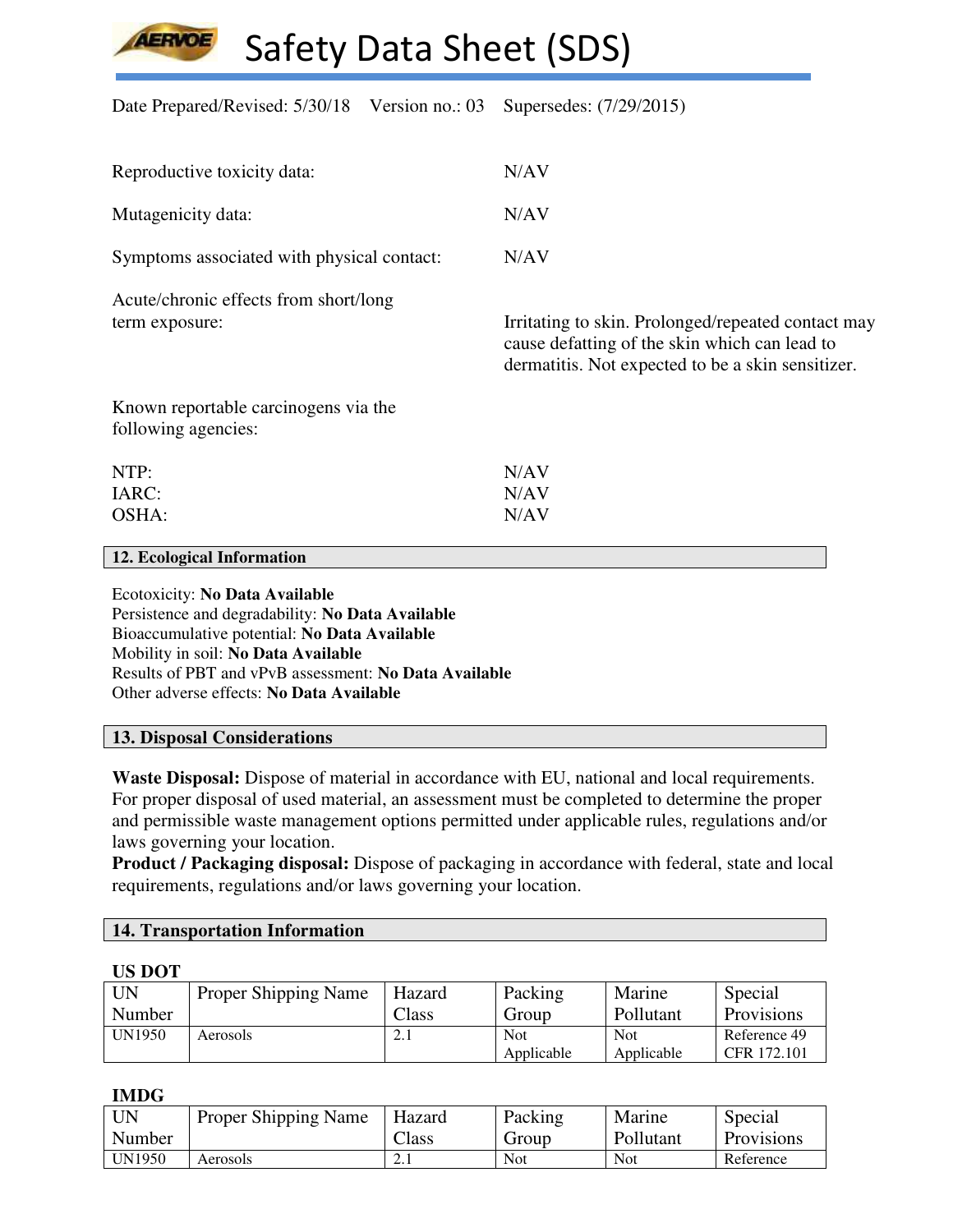Date Prepared/Revised: 5/30/18 Version no.: 03 Supersedes: (7/29/2015)

| Reproductive toxicity data:                                 | N/AV                                                                                                                                                     |
|-------------------------------------------------------------|----------------------------------------------------------------------------------------------------------------------------------------------------------|
| Mutagenicity data:                                          | N/AV                                                                                                                                                     |
| Symptoms associated with physical contact:                  | N/AV                                                                                                                                                     |
| Acute/chronic effects from short/long<br>term exposure:     | Irritating to skin. Prolonged/repeated contact may<br>cause defatting of the skin which can lead to<br>dermatitis. Not expected to be a skin sensitizer. |
| Known reportable carcinogens via the<br>following agencies: |                                                                                                                                                          |
| NTP:                                                        | N/AV                                                                                                                                                     |
| IARC:                                                       | N/AV                                                                                                                                                     |
| OSHA:                                                       | N/AV                                                                                                                                                     |
|                                                             |                                                                                                                                                          |

**12. Ecological Information** 

**LERVOE** 

Ecotoxicity: **No Data Available** Persistence and degradability: **No Data Available** Bioaccumulative potential: **No Data Available** Mobility in soil: **No Data Available** Results of PBT and vPvB assessment: **No Data Available** Other adverse effects: **No Data Available**

# **13. Disposal Considerations**

**Waste Disposal:** Dispose of material in accordance with EU, national and local requirements. For proper disposal of used material, an assessment must be completed to determine the proper and permissible waste management options permitted under applicable rules, regulations and/or laws governing your location.

**Product / Packaging disposal:** Dispose of packaging in accordance with federal, state and local requirements, regulations and/or laws governing your location.

# **14. Transportation Information**

#### **US DOT**

| <b>UN</b> | <b>Proper Shipping Name</b> | Hazard | Packing    | Marine     | Special           |
|-----------|-----------------------------|--------|------------|------------|-------------------|
| Number    |                             | Class  | Group      | Pollutant  | <b>Provisions</b> |
| UN1950    | Aerosols                    | 4.1    | Not        | Not        | Reference 49      |
|           |                             |        | Applicable | Applicable | CFR 172.101       |

#### **IMDG**

| <b>UN</b> | <b>Proper Shipping Name</b> | Hazard         | Packing | Marine    | Special           |
|-----------|-----------------------------|----------------|---------|-----------|-------------------|
| Number    |                             | $\text{Class}$ | Group   | Pollutant | <b>Provisions</b> |
| UN1950    | Aerosols                    | $\sim$ $\sim$  | Not     | Not       | Reference         |